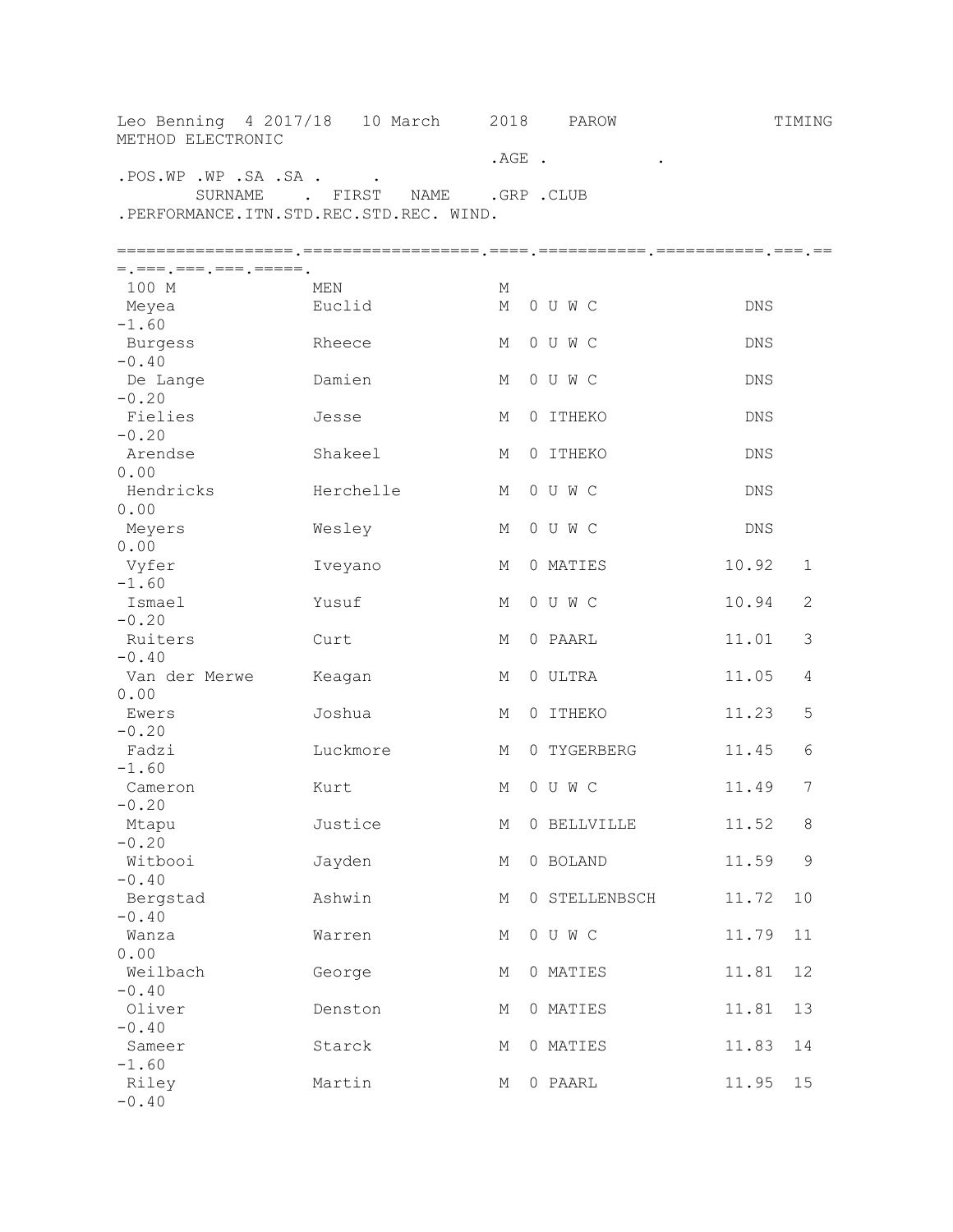| Leo Benning 4 2017/18 10 March<br>METHOD ELECTRONIC |               | 2018    | PAROW         |            | TIMING |
|-----------------------------------------------------|---------------|---------|---------------|------------|--------|
|                                                     |               | $AGE$ . |               |            |        |
| . POS.WP .WP .SA .SA .                              |               |         |               |            |        |
| <b>SURNAME</b><br>$\mathcal{L} = \mathcal{L}$       | FIRST<br>NAME |         | .GRP .CLUB    |            |        |
| .PERFORMANCE.ITN.STD.REC.STD.REC. WIND.             |               |         |               |            |        |
|                                                     |               |         |               |            |        |
| =.===.===.===.=====.                                |               |         |               |            |        |
| 100 M                                               | MEN           | М       |               |            |        |
| Meyea                                               | Euclid        | М       | 0 U W C       | <b>DNS</b> |        |
| $-1.60$                                             |               |         |               |            |        |
| Burgess                                             | Rheece        | М       | 0 U W C       | DNS        |        |
| $-0.40$                                             |               |         |               |            |        |
| De Lange                                            | Damien        | М       | 0 U W C       | DNS        |        |
| $-0.20$                                             |               |         |               |            |        |
| Fielies<br>$-0.20$                                  | Jesse         | М       | 0 ITHEKO      | DNS        |        |
| Arendse                                             | Shakeel       | М       | 0 ITHEKO      | DNS        |        |
| 0.00                                                |               |         |               |            |        |
| Hendricks                                           | Herchelle     | М       | 0 U W C       | <b>DNS</b> |        |
| 0.00                                                |               |         |               |            |        |
| Meyers                                              | Wesley        | М       | 0 U W C       | <b>DNS</b> |        |
| 0.00                                                |               |         |               |            |        |
| Vyfer                                               | Iveyano       | М       | 0 MATIES      | 10.92      | 1      |
| $-1.60$                                             |               |         |               |            |        |
| Ismael                                              | Yusuf         | М       | 0 U W C       | 10.94      | 2      |
| $-0.20$                                             |               |         |               |            |        |
| Ruiters                                             | Curt          | М       | 0 PAARL       | 11.01      | 3      |
| $-0.40$                                             |               |         |               |            |        |
| Van der Merwe                                       | Keagan        | М       | 0 ULTRA       | 11.05      | 4      |
| 0.00<br>Ewers                                       | Joshua        | М       | 0 ITHEKO      | 11.23      | 5      |
| $-0.20$                                             |               |         |               |            |        |
| Fadzi                                               | Luckmore      | М       | 0 TYGERBERG   | 11.45      | 6      |
| $-1.60$                                             |               |         |               |            |        |
| Cameron                                             | Kurt          | М       | OUWC          | 11.49      | 7      |
| $-0.20$                                             |               |         |               |            |        |
| Mtapu                                               | Justice       | М       | 0 BELLVILLE   | 11.52      | 8      |
| $-0.20$                                             |               |         |               |            |        |
| Witbooi                                             | Jayden        | М       | 0 BOLAND      | 11.59      | 9      |
| $-0.40$                                             |               |         |               |            |        |
| Bergstad                                            | Ashwin        | М       | 0 STELLENBSCH | 11.72      | 10     |
| $-0.40$                                             |               |         |               |            |        |
| Wanza<br>0.00                                       | Warren        | М       | OUWC          | 11.79      | 11     |
| Weilbach                                            | George        | М       | 0 MATIES      | 11.81      | 12     |
| $-0.40$                                             |               |         |               |            |        |
| Oliver                                              | Denston       | М       | 0 MATIES      | 11.81      | 13     |
| $-0.40$                                             |               |         |               |            |        |
| Sameer                                              | Starck        | М       | 0 MATIES      | 11.83      | 14     |
| $-1.60$                                             |               |         |               |            |        |
| Riley                                               | Martin        | М       | 0 PAARL       | 11.95      | 15     |
| $-0.40$                                             |               |         |               |            |        |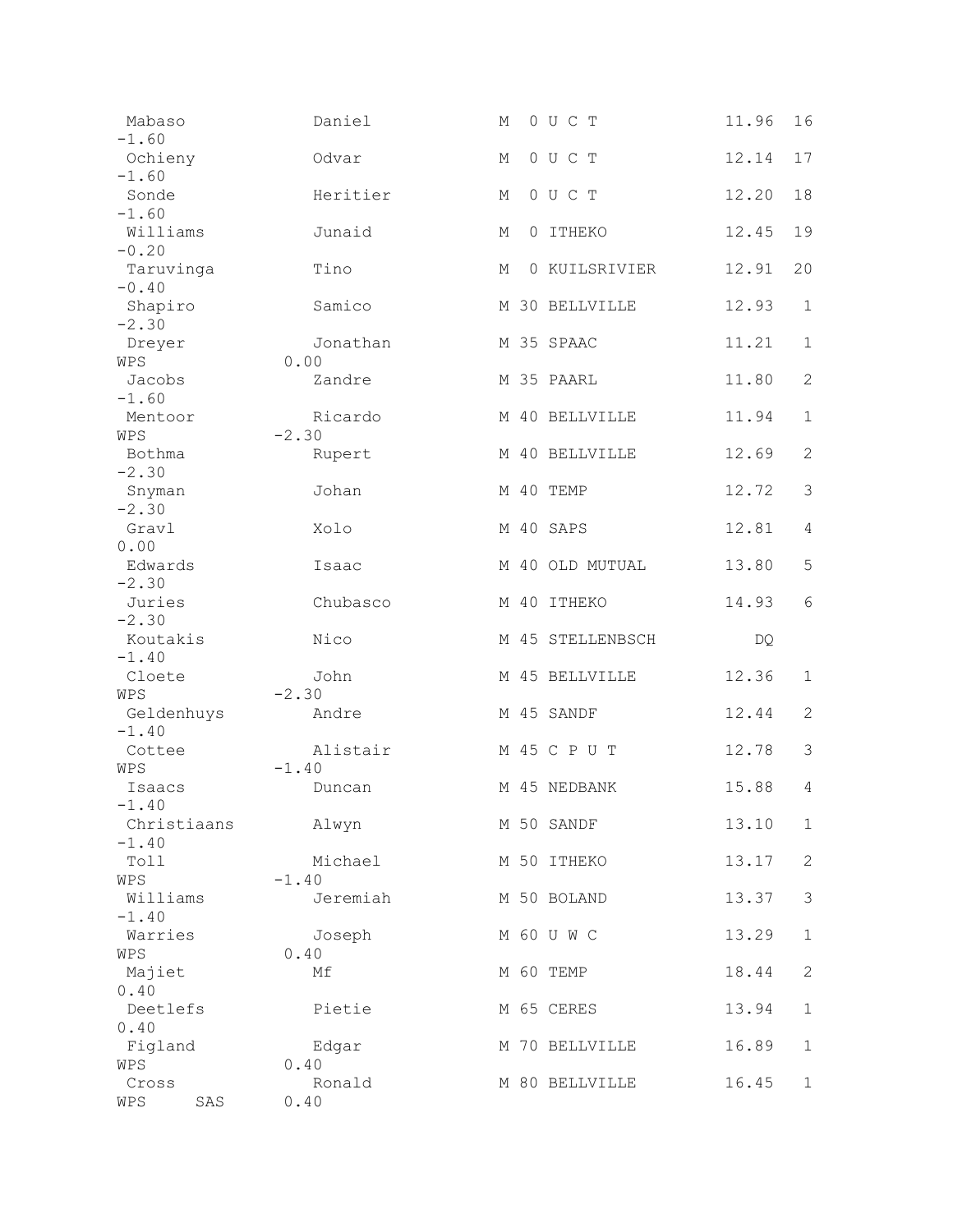| Mabaso           | Daniel             | 0 U C T<br>М       | 11.96 | 16          |
|------------------|--------------------|--------------------|-------|-------------|
| $-1.60$          |                    |                    |       |             |
| Ochieny          | Odvar              | 0 U C T<br>М       | 12.14 | 17          |
| $-1.60$          | Heritier           | 0 U C T            |       |             |
| Sonde<br>$-1.60$ |                    | М                  | 12.20 | 18          |
| Williams         | Junaid             | 0 ITHEKO<br>М      | 12.45 | 19          |
| $-0.20$          |                    |                    |       |             |
| Taruvinga        | Tino               | 0 KUILSRIVIER<br>М | 12.91 | 20          |
| $-0.40$          |                    |                    |       |             |
| Shapiro          | Samico             | M 30 BELLVILLE     | 12.93 | $\mathbf 1$ |
| $-2.30$          |                    |                    |       |             |
|                  | Jonathan           | M 35 SPAAC         | 11.21 | $\mathbf 1$ |
| Dreyer<br>WPS    | 0.00               |                    |       |             |
| Jacobs           | Zandre             | M 35 PAARL         | 11.80 | 2           |
| $-1.60$          |                    |                    |       |             |
|                  |                    |                    |       |             |
| Mentoor          | Ricardo<br>$-2.30$ | M 40 BELLVILLE     | 11.94 | $\mathbf 1$ |
| WPS              |                    |                    |       |             |
| Bothma           | Rupert             | M 40 BELLVILLE     | 12.69 | 2           |
| $-2.30$          |                    |                    |       |             |
| Snyman           | Johan              | M 40 TEMP          | 12.72 | 3           |
| $-2.30$          |                    |                    |       |             |
| Gravl            | Xolo               | M 40 SAPS          | 12.81 | 4           |
| 0.00             |                    |                    |       |             |
| Edwards          | Isaac              | M 40 OLD MUTUAL    | 13.80 | 5           |
| $-2.30$          |                    |                    |       |             |
| Juries           | Chubasco           | M 40 ITHEKO        | 14.93 | 6           |
|                  |                    |                    |       |             |
| $-2.30$          |                    |                    |       |             |
| Koutakis         | Nico               | M 45 STELLENBSCH   | DQ    |             |
| $-1.40$          |                    |                    |       |             |
| Cloete           | John               | M 45 BELLVILLE     | 12.36 | $\mathbf 1$ |
| WPS              | $-2.30$            |                    |       |             |
| Geldenhuys       | Andre              | M 45 SANDF         | 12.44 | 2           |
| $-1.40$          |                    |                    |       |             |
| Cottee           | Alistair           | M 45 C P U T       | 12.78 | 3           |
| WPS              | $-1.40$            |                    |       |             |
| Isaacs           | Duncan             | M 45 NEDBANK       | 15.88 | 4           |
| $-1.40$          |                    |                    |       |             |
| Christiaans      | Alwyn              | M 50 SANDF         | 13.10 | 1           |
| $-1.40$          |                    |                    |       |             |
| Toll             | Michael            | M 50 ITHEKO        | 13.17 | 2           |
| WPS              | $-1.40$            |                    |       |             |
| Williams         | Jeremiah           | M 50 BOLAND        | 13.37 | 3           |
| $-1.40$          |                    |                    |       |             |
| Warries          | Joseph             | M 60 U W C         | 13.29 | $\mathbf 1$ |
| WPS              | 0.40               |                    |       |             |
| Majiet           | Мf                 | M 60 TEMP          | 18.44 | 2           |
| 0.40             |                    |                    |       |             |
| Deetlefs         | Pietie             | M 65 CERES         | 13.94 | 1           |
| 0.40             |                    |                    |       |             |
| Figland          | Edgar              | M 70 BELLVILLE     | 16.89 | 1           |
| WPS              | 0.40               |                    |       |             |
| Cross<br>WPS     | Ronald<br>0.40     | M 80 BELLVILLE     | 16.45 | 1           |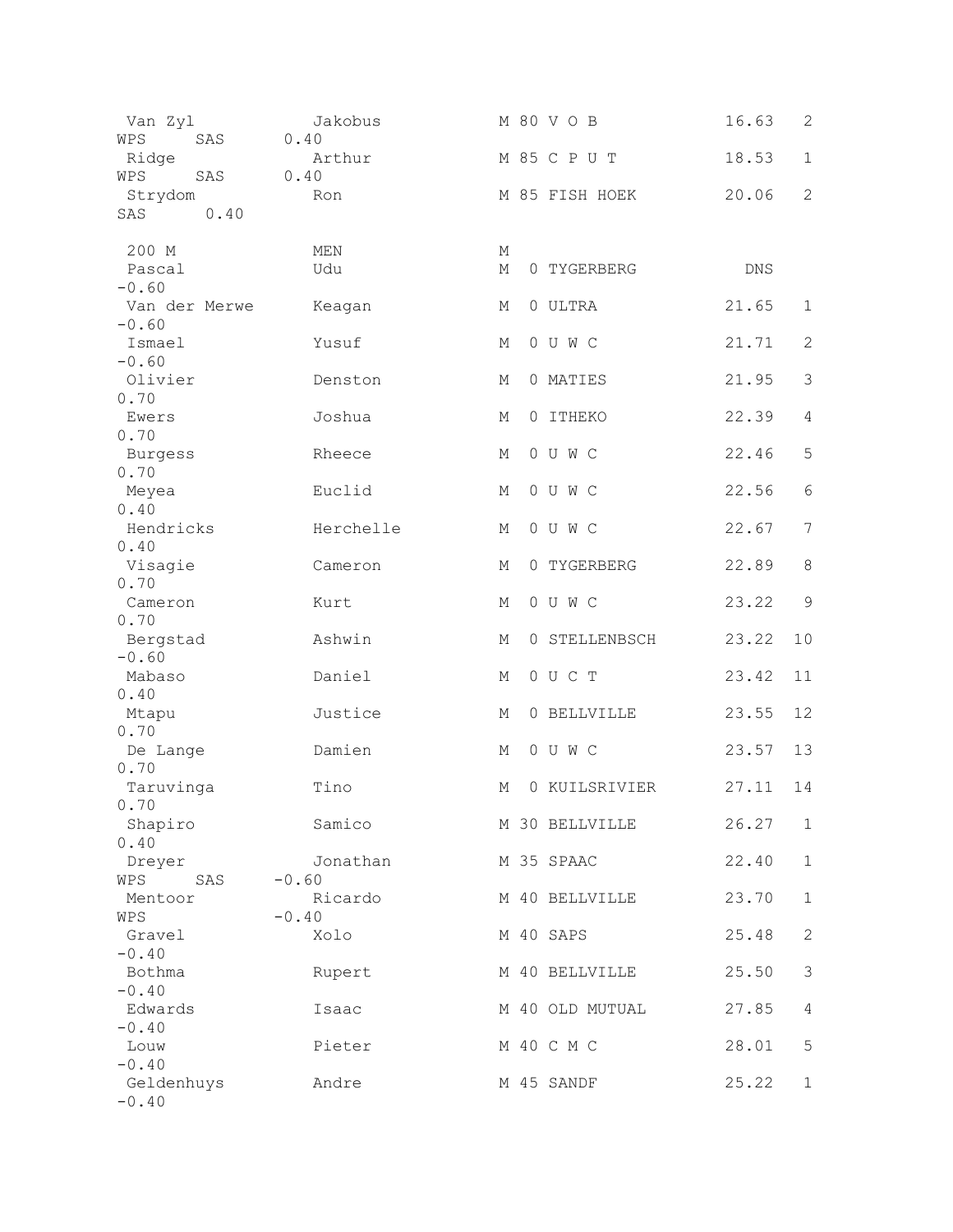| Van Zyl                | Jakobus             | M 80 V O B            | 16.63      | 2           |
|------------------------|---------------------|-----------------------|------------|-------------|
| WPS<br>SAS             | 0.40                |                       |            |             |
| Ridge<br>WPS<br>SAS    | Arthur<br>0.40      | M 85 C P U T          | 18.53      | 1           |
| Strydom                | Ron                 | M 85 FISH HOEK        | 20.06      | 2           |
| SAS<br>0.40            |                     |                       |            |             |
|                        |                     |                       |            |             |
| 200 M<br>Pascal        | MEN<br>Udu          | М<br>М<br>0 TYGERBERG | <b>DNS</b> |             |
| $-0.60$                |                     |                       |            |             |
| Van der Merwe          | Keagan              | 0 ULTRA<br>М          | 21.65      | $\mathbf 1$ |
| $-0.60$                |                     |                       |            |             |
| Ismael<br>$-0.60$      | Yusuf               | 0 U W C<br>М          | 21.71      | 2           |
| Olivier                | Denston             | 0 MATIES<br>М         | 21.95      | 3           |
| 0.70                   |                     |                       |            |             |
| Ewers                  | Joshua              | 0 ITHEKO<br>М         | 22.39      | 4           |
| 0.70                   |                     |                       |            |             |
| <b>Burgess</b><br>0.70 | Rheece              | OUWC<br>М             | 22.46      | 5           |
| Meyea                  | Euclid              | 0 U W C<br>М          | 22.56      | 6           |
| 0.40                   |                     |                       |            |             |
| Hendricks              | Herchelle           | 0 U W C<br>М          | 22.67      | 7           |
| 0.40                   |                     |                       |            |             |
| Visagie<br>0.70        | Cameron             | 0 TYGERBERG<br>Μ      | 22.89      | 8           |
| Cameron                | Kurt                | 0 U W C<br>Μ          | 23.22      | $\mathsf 9$ |
| 0.70                   |                     |                       |            |             |
| Bergstad               | Ashwin              | 0 STELLENBSCH<br>М    | 23.22      | 10          |
| $-0.60$<br>Mabaso      | Daniel              | 0 U C T<br>Μ          | 23.42      | 11          |
| 0.40                   |                     |                       |            |             |
| Mtapu                  | Justice             | 0 BELLVILLE<br>Μ      | 23.55      | 12          |
| 0.70                   |                     |                       |            |             |
| De Lange<br>0.70       | Damien              | 0 U W C<br>Μ          | 23.57      | 13          |
| Taruvinga              | Tino                | 0 KUILSRIVIER<br>М    | 27.11      | 14          |
| 0.70                   |                     |                       |            |             |
| Shapiro                | Samico              | M 30 BELLVILLE        | 26.27      | 1           |
| 0.40                   |                     |                       |            |             |
| Dreyer<br>WPS<br>SAS   | Jonathan<br>$-0.60$ | M 35 SPAAC            | 22.40      | $\mathbf 1$ |
| Mentoor                | Ricardo             | M 40 BELLVILLE        | 23.70      | 1           |
| WPS                    | $-0.40$             |                       |            |             |
| Gravel                 | Xolo                | M 40 SAPS             | 25.48      | 2           |
| $-0.40$<br>Bothma      | Rupert              | M 40 BELLVILLE        | 25.50      | 3           |
| $-0.40$                |                     |                       |            |             |
| Edwards                | Isaac               | M 40 OLD MUTUAL       | 27.85      | 4           |
| $-0.40$                |                     |                       |            |             |
| Louw                   | Pieter              | M 40 C M C            | 28.01      | 5           |
| $-0.40$<br>Geldenhuys  | Andre               | M 45 SANDF            | 25.22      | $\mathbf 1$ |
| $-0.40$                |                     |                       |            |             |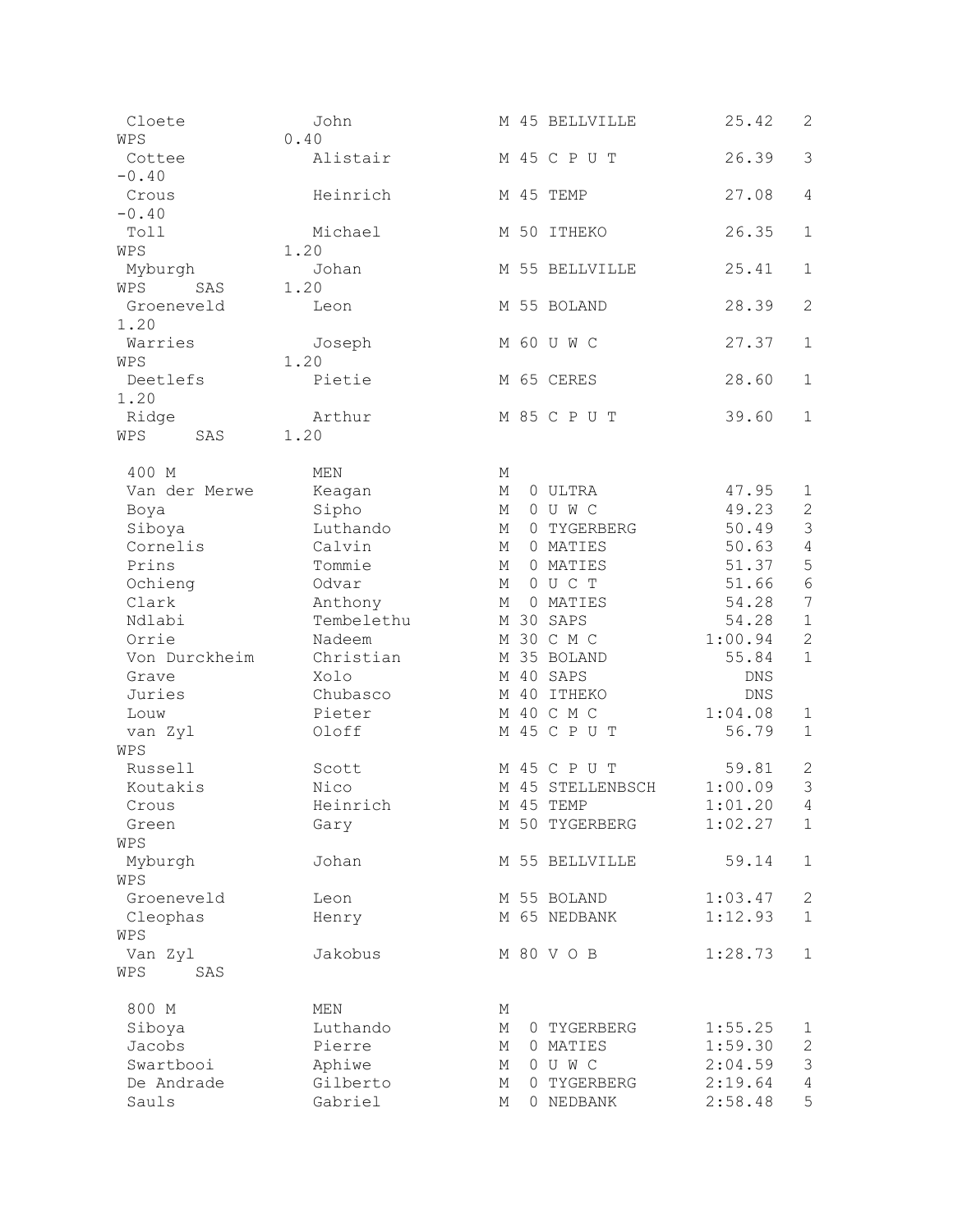| Cloete         | John       | M 45 BELLVILLE   | 25.42              | 2              |
|----------------|------------|------------------|--------------------|----------------|
| WPS            | 0.40       |                  |                    |                |
| Cottee         | Alistair   | M 45 C P U T     | 26.39              | 3              |
| $-0.40$        |            |                  |                    |                |
| Crous          | Heinrich   | M 45 TEMP        | 27.08              | 4              |
| $-0.40$        |            |                  |                    |                |
| Toll           | Michael    | M 50 ITHEKO      | 26.35              | $\mathbf 1$    |
| WPS            | 1.20       |                  |                    |                |
| Myburgh        | Johan      | M 55 BELLVILLE   | 25.41              | $\mathbf{1}$   |
| WPS<br>SAS     | 1.20       |                  |                    |                |
| Groeneveld     | Leon       | M 55 BOLAND      | 28.39              | 2              |
| 1.20           |            |                  |                    |                |
| Warries        | Joseph     | M 60 U W C       | 27.37              | 1              |
| WPS            | 1.20       |                  |                    |                |
| Deetlefs       | Pietie     | M 65 CERES       | 28.60              | $\mathbf 1$    |
| 1.20           |            |                  |                    |                |
| Ridge          | Arthur     | M 85 C P U T     | 39.60              | $\mathbf 1$    |
| WPS<br>SAS     | 1.20       |                  |                    |                |
|                |            |                  |                    |                |
| 400 M          | MEN        | М                |                    |                |
| Van der Merwe  | Keagan     | М<br>0 ULTRA     | 47.95              | 1              |
| Boya           | Sipho      | 0 U W C<br>М     | 49.23              | $\mathbf{2}$   |
| Siboya         | Luthando   | 0 TYGERBERG<br>М | 50.49              | 3              |
| Cornelis       | Calvin     | 0 MATIES<br>М    | 50.63              | $\sqrt{4}$     |
| Prins          | Tommie     | 0 MATIES<br>М    | 51.37              | 5              |
| Ochieng        | Odvar      | 0 U C T<br>М     | 51.66              | $\epsilon$     |
| Clark          | Anthony    | 0 MATIES<br>М    | 54.28              | 7              |
| Ndlabi         | Tembelethu | M 30 SAPS        | 54.28              | $\mathbf{1}$   |
| Orrie          | Nadeem     | M 30 C M C       | 1:00.94            | $\overline{2}$ |
| Von Durckheim  | Christian  | M 35 BOLAND      | 55.84              | $\mathbf 1$    |
| Grave          | Xolo       | M 40<br>SAPS     | $\mathop{\rm DNS}$ |                |
| Juries         | Chubasco   | M 40<br>ITHEKO   | DNS                |                |
| Louw           | Pieter     | M 40 C M C       | 1:04.08            | $\mathbf 1$    |
|                | Oloff      | M 45 C P U T     | 56.79              | $\mathbf 1$    |
| van Zyl<br>WPS |            |                  |                    |                |
| Russell        |            |                  |                    |                |
|                | Scott      | M 45 C P U T     | 59.81              | 2              |
| Koutakis       | Nico       | M 45 STELLENBSCH | 1:00.09            | 3              |
| Crous          | Heinrich   | M 45 TEMP        | 1:01.20            | 4              |
| Green          | Gary       | M 50 TYGERBERG   | 1:02.27            | 1              |
| WPS            |            |                  |                    |                |
| Myburgh        | Johan      | M 55 BELLVILLE   | 59.14              | 1              |
| WPS            |            |                  |                    |                |
| Groeneveld     | Leon       | M 55 BOLAND      | 1:03.47            | 2              |
| Cleophas       | Henry      | M 65 NEDBANK     | 1:12.93            | $\mathbf 1$    |
| WPS            |            |                  |                    |                |
| Van Zyl        | Jakobus    | M 80 V O B       | 1:28.73            | 1              |
| WPS<br>SAS     |            |                  |                    |                |
|                |            |                  |                    |                |
| 800 M          | MEN        | М                |                    |                |
| Siboya         | Luthando   | 0 TYGERBERG<br>Μ | 1:55.25            | 1              |
| Jacobs         | Pierre     | 0 MATIES<br>Μ    | 1:59.30            | $\mathbf{2}$   |
| Swartbooi      | Aphiwe     | 0 U W C<br>Μ     | 2:04.59            | $\mathsf 3$    |
| De Andrade     | Gilberto   | 0 TYGERBERG<br>Μ | 2:19.64            | $\sqrt{4}$     |
| Sauls          | Gabriel    | 0 NEDBANK<br>М   | 2:58.48            | 5              |
|                |            |                  |                    |                |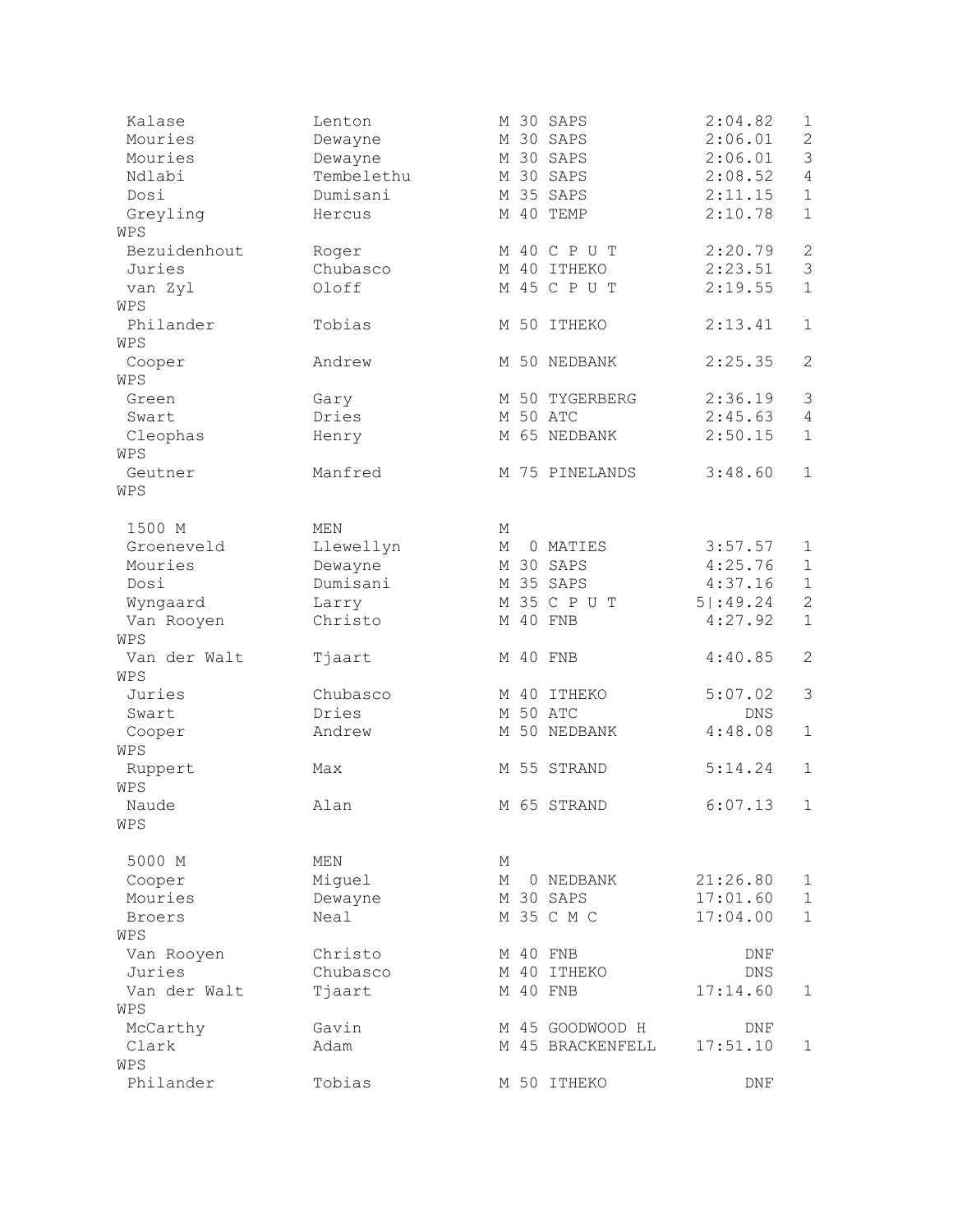| Kalase              | Lenton     | M 30 SAPS                           | 2:04.82         | $\mathbf 1$    |
|---------------------|------------|-------------------------------------|-----------------|----------------|
| Mouries             | Dewayne    | M 30 SAPS                           | 2:06.01         | $\overline{2}$ |
| Mouries             | Dewayne    | M 30 SAPS                           | 2:06.01         | 3              |
| Ndlabi              | Tembelethu | M 30 SAPS                           | 2:08.52         | $\overline{4}$ |
| Dosi                | Dumisani   | M 35 SAPS                           | 2:11.15         | $\mathbf 1$    |
| Greyling            | Hercus     | M 40 TEMP                           | 2:10.78         | $\mathbf 1$    |
| WPS                 |            |                                     |                 |                |
| Bezuidenhout        | Roger      | M 40 C P U T                        | 2:20.79         | $\mathbf{2}$   |
| Juries              | Chubasco   | M 40 ITHEKO                         | 2:23.51         | 3              |
| van Zyl             | Oloff      | M 45 C P U T                        | 2:19.55         | $\mathbf{1}$   |
| WPS                 |            |                                     |                 |                |
| Philander           | Tobias     | M 50 ITHEKO                         | 2:13.41         | 1              |
| WPS                 |            |                                     |                 |                |
| Cooper              | Andrew     | M 50 NEDBANK                        | 2:25.35         | 2              |
| WPS                 |            |                                     |                 |                |
| Green               | Gary       | M 50 TYGERBERG                      | 2:36.19         | $\mathsf 3$    |
| Swart               | Dries      | M 50 ATC                            | 2:45.63         | $\overline{4}$ |
| Cleophas            | Henry      | M 65 NEDBANK                        | 2:50.15         | $\mathbf{1}$   |
| WPS                 |            |                                     |                 |                |
| Geutner             | Manfred    | M 75 PINELANDS                      | 3:48.60         | 1              |
| WPS                 |            |                                     |                 |                |
|                     |            |                                     |                 |                |
| 1500 M              | MEN        | Μ                                   |                 |                |
| Groeneveld          | Llewellyn  | М<br>0 MATIES                       | 3:57.57         | 1              |
| Mouries             | Dewayne    | M 30 SAPS                           | 4:25.76         | $\mathbf{1}$   |
| Dosi                | Dumisani   | M 35 SAPS                           | 4:37.16         | $\mathbf 1$    |
| Wyngaard            | Larry      | M 35 C P U T                        | 5 :49.24        | $\mathbf{2}$   |
| Van Rooyen<br>WPS   | Christo    | M 40 FNB                            | 4:27.92         | $\mathbf 1$    |
| Van der Walt        | Tjaart     | M 40 FNB                            | 4:40.85         | 2              |
| WPS                 |            |                                     |                 |                |
| Juries              | Chubasco   | M 40 ITHEKO                         | 5:07.02         | 3              |
| Swart               | Dries      | M 50 ATC                            | DNS.            |                |
| Cooper              | Andrew     | M 50 NEDBANK                        | 4:48.08         | $\mathbf 1$    |
| WPS                 |            |                                     |                 |                |
| Ruppert             | Max        | M 55 STRAND                         | 5:14.24         | 1              |
| WPS                 |            |                                     |                 |                |
| Naude               | Alan       | M 65 STRAND                         | 6:07.13         | 1              |
| WPS                 |            |                                     |                 |                |
|                     |            |                                     |                 |                |
| 5000 M              | MEN        | М                                   |                 |                |
| Cooper              | Miguel     | 0 NEDBANK<br>М                      | 21:26.80        | 1              |
| Mouries             | Dewayne    | M 30 SAPS                           | 17:01.60        | $\mathbf 1$    |
| <b>Broers</b>       | Neal       | M 35 C M C                          | 17:04.00        | $\mathbf{1}$   |
| WPS                 |            |                                     |                 |                |
| Van Rooyen          | Christo    | M 40 FNB                            | DNF             |                |
| Juries              | Chubasco   | M 40 ITHEKO                         | <b>DNS</b>      |                |
| Van der Walt<br>WPS | Tjaart     | M 40 FNB                            | 17:14.60        | 1              |
|                     | Gavin      |                                     |                 |                |
| McCarthy<br>Clark   | Adam       | M 45 GOODWOOD H<br>M 45 BRACKENFELL | DNF<br>17:51.10 | 1              |
| WPS                 |            |                                     |                 |                |
| Philander           | Tobias     | M 50 ITHEKO                         | DNF             |                |
|                     |            |                                     |                 |                |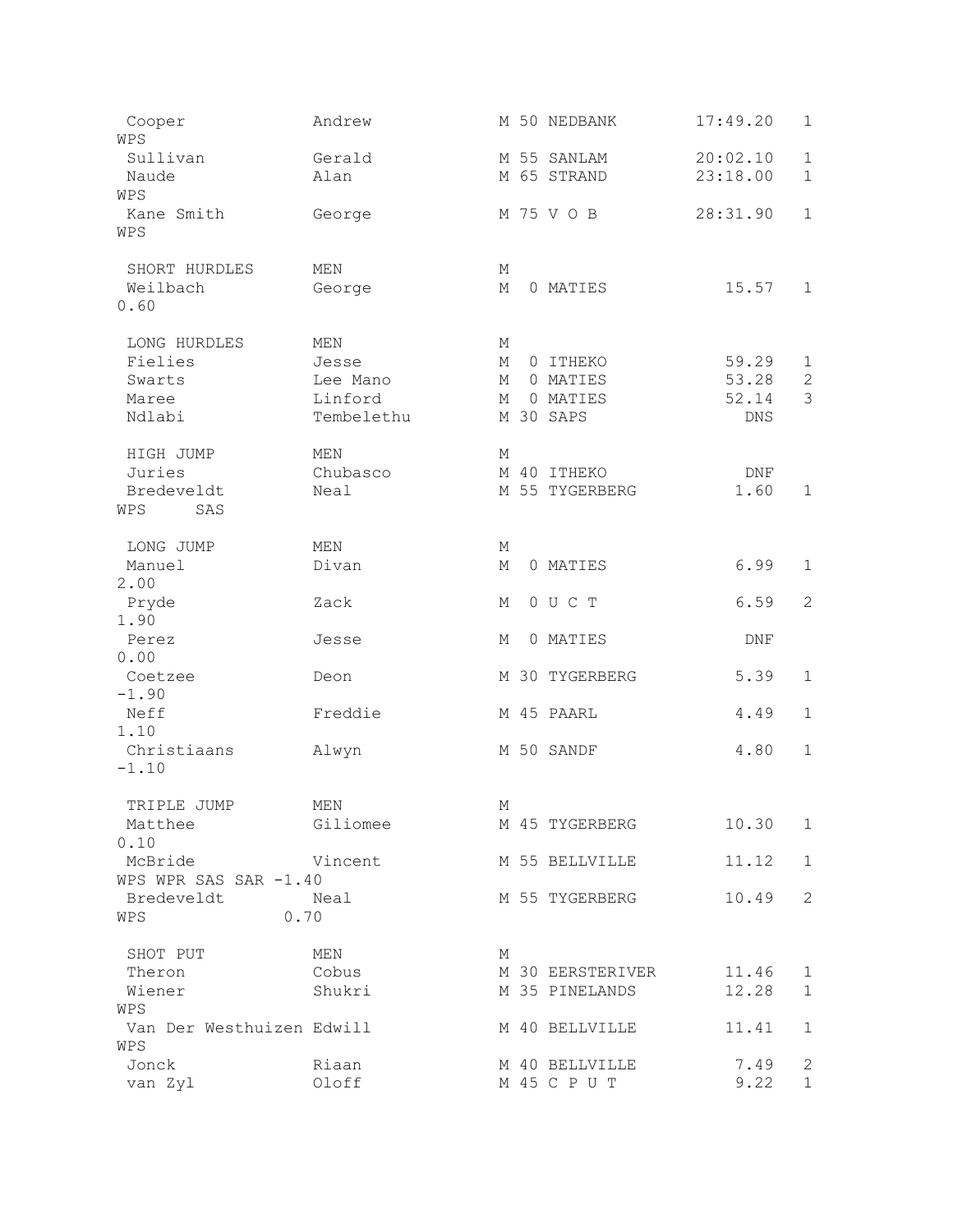| Cooper<br>WPS             | Andrew     | M 50 NEDBANK           | 17:49.20   | 1            |
|---------------------------|------------|------------------------|------------|--------------|
| Sullivan                  | Gerald     | M 55 SANLAM            | 20:02.10   | 1            |
| Naude                     | Alan       | M 65 STRAND            | 23:18.00   | $\mathbf{1}$ |
| WPS                       |            |                        |            |              |
| Kane Smith                | George     | M 75 V O B             | 28:31.90   | 1            |
| WPS                       |            |                        |            |              |
|                           |            |                        |            |              |
| SHORT HURDLES             | MEN        | М                      |            |              |
| Weilbach                  | George     | М<br>0 MATIES          | 15.57      | $\mathbf 1$  |
| 0.60                      |            |                        |            |              |
|                           |            |                        |            |              |
| LONG HURDLES              | MEN        | М                      |            |              |
| Fielies                   | Jesse      | 0 ITHEKO<br>М          | 59.29      | 1            |
| Swarts                    | Lee Mano   | 0 MATIES<br>М          | 53.28      | 2            |
| Maree                     | Linford    | 0 MATIES<br>М          | 52.14      | 3            |
| Ndlabi                    | Tembelethu | M 30 SAPS              | <b>DNS</b> |              |
|                           |            |                        |            |              |
| HIGH JUMP                 | MEN        | М                      |            |              |
| Juries                    | Chubasco   | M 40 ITHEKO            | DNF        |              |
| Bredeveldt                | Neal       | M 55 TYGERBERG         | 1.60       | $\mathbf{1}$ |
| SAS<br>WPS                |            |                        |            |              |
|                           |            |                        |            |              |
| LONG JUMP                 | MEN        | М                      |            |              |
| Manuel                    | Divan      | 0 MATIES<br>М          | 6.99       | $\mathbf 1$  |
| 2.00                      |            |                        |            |              |
| Pryde                     | Zack       | 0 U C T<br>М           | 6.59       | 2            |
| 1.90                      |            |                        |            |              |
| Perez                     | Jesse      | 0 MATIES<br>М          | DNF        |              |
| 0.00                      |            |                        |            |              |
| Coetzee                   | Deon       | M 30 TYGERBERG         | 5.39       | $\mathbf 1$  |
| $-1.90$                   |            |                        |            |              |
| Neff                      | Freddie    | M 45 PAARL             | 4.49       | 1            |
| 1.10                      |            |                        |            |              |
| Christiaans               | Alwyn      | M 50 SANDF             | 4.80       | 1            |
| $-1.10$                   |            |                        |            |              |
|                           |            |                        |            |              |
| TRIPLE JUMP               | MEN        | M                      |            |              |
| Matthee                   | Giliomee   | M 45 TYGERBERG         | 10.30      | 1            |
| 0.10                      |            |                        |            |              |
| McBride Vincent           |            | M 55 BELLVILLE         | 11.12      | $\mathbf 1$  |
| WPS WPR SAS SAR -1.40     |            |                        |            |              |
| Bredeveldt                | Neal       | M 55 TYGERBERG         | 10.49      | 2            |
| WPS                       | 0.70       |                        |            |              |
|                           |            |                        |            |              |
| SHOT PUT                  | MEN        | М                      |            |              |
| Theron                    | Cobus      | M 30 EERSTERIVER 11.46 |            | 1            |
| Wiener                    | Shukri     | M 35 PINELANDS         | 12.28      | $\mathbf{1}$ |
| WPS                       |            |                        |            |              |
| Van Der Westhuizen Edwill |            | M 40 BELLVILLE         | 11.41      | $\mathbf{1}$ |
| WPS                       |            |                        |            |              |
| Jonck                     | Riaan      | M 40 BELLVILLE         | 7.49       | $\mathbf{2}$ |
| van Zyl                   | Oloff      | M 45 C P U T           | 9.22       | $\mathbf 1$  |
|                           |            |                        |            |              |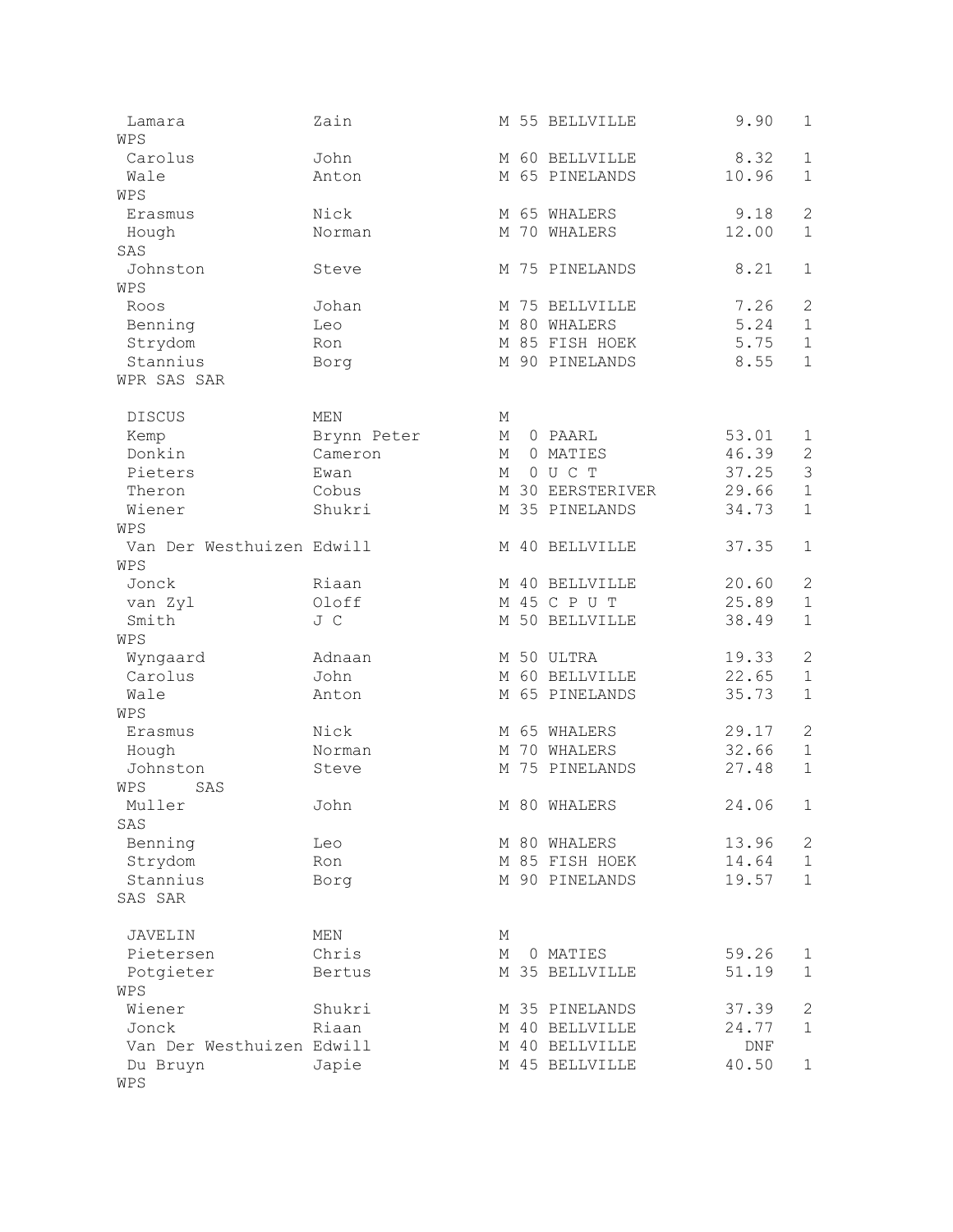| Lamara<br>WPS                         | Zain        |   | M 55 BELLVILLE                   | 9.90                                 | $\mathbf{1}$   |
|---------------------------------------|-------------|---|----------------------------------|--------------------------------------|----------------|
| Carolus                               | John        |   | M 60 BELLVILLE                   | 8.32                                 | $1\,$          |
| Wale                                  | Anton       |   | M 65 PINELANDS                   | 10.96                                | $\mathbf{1}$   |
| WPS                                   |             |   |                                  |                                      |                |
| Erasmus                               | Nick        |   | M 65 WHALERS                     | 9.18                                 | $\sqrt{2}$     |
| Hough                                 | Norman      |   | M 70 WHALERS                     | 12.00                                | $\mathbf 1$    |
| SAS                                   |             |   |                                  |                                      |                |
| Johnston                              | Steve       |   | M 75 PINELANDS                   | 8.21                                 | $\mathbf{1}$   |
| WPS                                   |             |   |                                  |                                      |                |
| Roos                                  | Johan       |   | M 75 BELLVILLE                   | 7.26                                 | $\mathbf{2}$   |
| Benning                               | Leo         |   | M 80 WHALERS                     | 5.24                                 | $\mathbf{1}$   |
| Strydom                               | Ron         |   | M 85 FISH HOEK                   | 5.75                                 | $\mathbf{1}$   |
| Stannius                              | Borg        |   | M 90 PINELANDS                   | 8.55                                 | $\mathbf{1}$   |
| WPR SAS SAR                           |             |   |                                  |                                      |                |
| <b>DISCUS</b>                         | MEN         | М |                                  |                                      |                |
| Kemp                                  | Brynn Peter | М | 0 PAARL                          | 53.01                                | $\mathbf{1}$   |
| Donkin                                | Cameron     | М | 0 MATIES                         | 46.39                                | $\mathbf{2}$   |
| Pieters                               | Ewan        | М | 0 U C T                          | 37.25                                | $\mathfrak{Z}$ |
| Theron                                | Cobus       |   | M 30 EERSTERIVER                 | 29.66                                | $\,1\,$        |
| Wiener                                | Shukri      |   | M 35 PINELANDS                   | 34.73                                | $\mathbf{1}$   |
| WPS                                   |             |   |                                  |                                      |                |
| Van Der Westhuizen Edwill             |             |   | M 40 BELLVILLE                   | 37.35                                | $\mathbf{1}$   |
| WPS                                   |             |   |                                  |                                      |                |
| Jonck                                 | Riaan       |   | M 40 BELLVILLE                   | 20.60                                | 2              |
| van Zyl                               | Oloff       |   | M 45 C P U T                     | 25.89                                | $1\,$          |
| Smith                                 | J C         |   | M 50 BELLVILLE                   | 38.49                                | $\mathbf{1}$   |
| WPS                                   |             |   |                                  |                                      |                |
| Wyngaard                              | Adnaan      |   | M 50 ULTRA                       | 19.33                                | $\mathbf{2}$   |
| Carolus                               | John        |   | M 60 BELLVILLE                   | 22.65                                | $1\,$          |
| Wale                                  | Anton       |   | M 65 PINELANDS                   | 35.73                                | $\mathbf{1}$   |
| WPS                                   |             |   |                                  |                                      |                |
| Erasmus                               | Nick        |   | M 65 WHALERS                     | 29.17                                | $\mathbf{2}$   |
| Hough                                 | Norman      |   | M 70 WHALERS                     | 32.66                                | $\mathbf 1$    |
| Johnston                              | Steve       |   | M 75 PINELANDS                   | 27.48                                | $\mathbf 1$    |
| WPS<br>SAS                            |             |   |                                  |                                      |                |
| Muller                                | John        |   | M 80 WHALERS                     | 24.06                                | 1              |
| SAS                                   |             |   |                                  |                                      |                |
| Benning                               | Leo         |   | M 80 WHALERS                     | 13.96                                | 2              |
| Strydom                               | Ron         |   | M 85 FISH HOEK                   | 14.64                                | $\mathbf{1}$   |
| Stannius                              | Borg        |   | M 90 PINELANDS                   | 19.57                                | $\mathbf 1$    |
| SAS SAR                               |             |   |                                  |                                      |                |
| <b>JAVELIN</b>                        | MEN         | М |                                  |                                      |                |
| Pietersen                             | Chris       | М | 0 MATIES                         | 59.26                                | 1              |
| Potgieter                             | Bertus      |   | M 35 BELLVILLE                   | 51.19                                | $\mathbf{1}$   |
| WPS                                   |             |   |                                  |                                      |                |
| Wiener                                | Shukri      |   | M 35 PINELANDS                   | 37.39                                | $\mathbf{2}$   |
|                                       | Riaan       |   | M 40 BELLVILLE                   | 24.77                                | $\mathbf{1}$   |
|                                       |             |   |                                  |                                      |                |
| Jonck                                 |             |   |                                  |                                      |                |
| Van Der Westhuizen Edwill<br>Du Bruyn | Japie       |   | M 40 BELLVILLE<br>M 45 BELLVILLE | $\mathop{\rm DNF}\nolimits$<br>40.50 | $\mathbf{1}$   |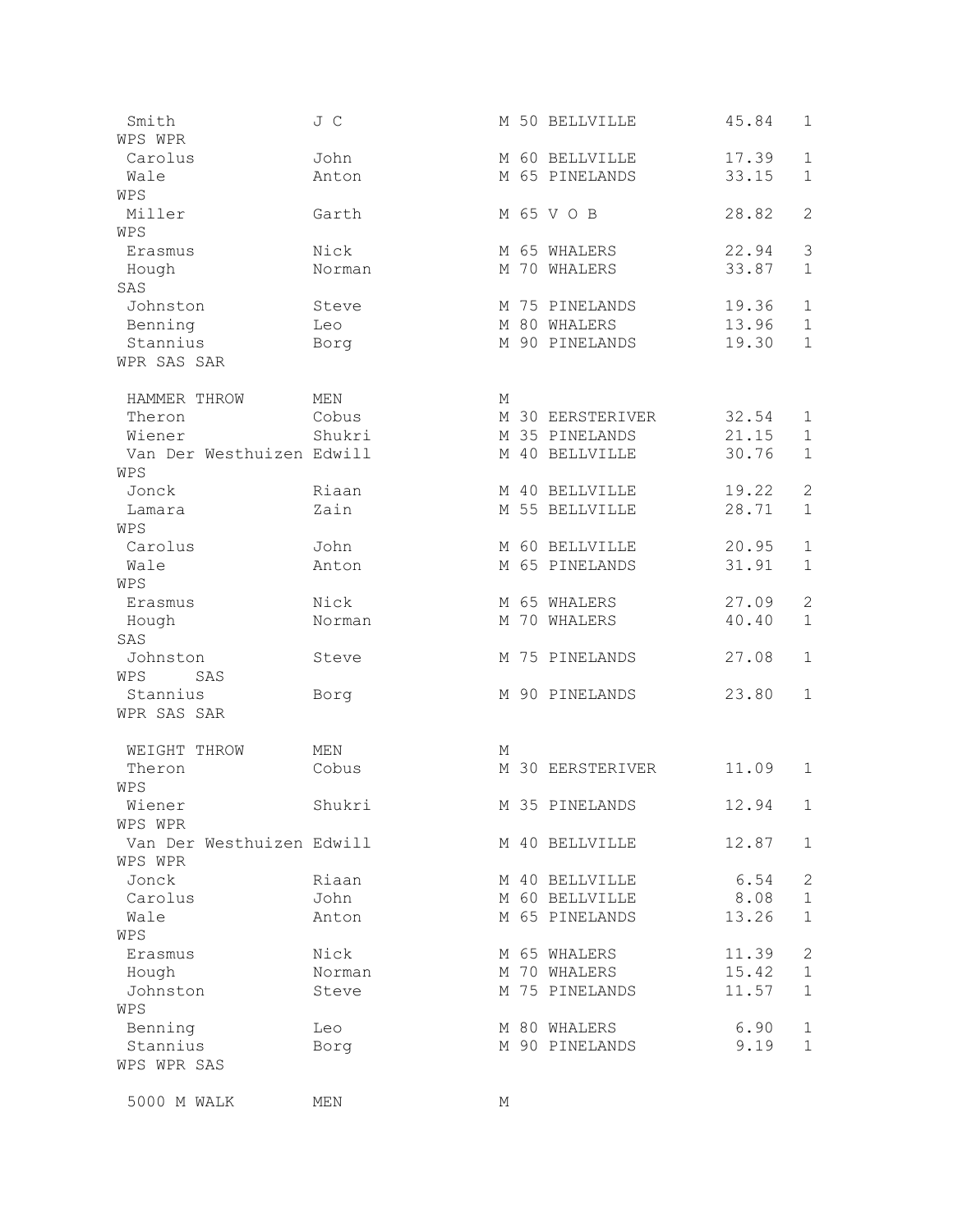| Smith<br>WPS WPR          | J C    |   | M 50 BELLVILLE   | 45.84 | 1            |
|---------------------------|--------|---|------------------|-------|--------------|
|                           |        |   |                  |       |              |
| Carolus                   | John   |   | M 60 BELLVILLE   | 17.39 | 1            |
| Wale                      | Anton  |   | M 65 PINELANDS   | 33.15 | $\mathbf 1$  |
| WPS                       |        |   |                  |       |              |
| Miller                    | Garth  |   | M 65 V O B       | 28.82 | 2            |
| WPS                       |        |   |                  |       |              |
| Erasmus                   | Nick   |   | M 65 WHALERS     | 22.94 | 3            |
| Hough                     | Norman |   | M 70 WHALERS     | 33.87 | $\mathbf 1$  |
| SAS                       |        |   |                  |       |              |
| Johnston                  | Steve  |   | M 75 PINELANDS   | 19.36 | 1            |
| Benning                   | Leo    |   | M 80 WHALERS     | 13.96 | $\mathbf 1$  |
| Stannius                  | Borg   |   | M 90 PINELANDS   | 19.30 | $\mathbf{1}$ |
| WPR SAS SAR               |        |   |                  |       |              |
|                           |        |   |                  |       |              |
| HAMMER THROW              | MEN    | М |                  |       |              |
| Theron                    | Cobus  |   | M 30 EERSTERIVER | 32.54 | 1            |
| Wiener                    | Shukri |   | M 35 PINELANDS   | 21.15 | $\mathbf 1$  |
| Van Der Westhuizen Edwill |        |   | M 40 BELLVILLE   | 30.76 | $\mathbf{1}$ |
| WPS                       |        |   |                  |       |              |
| Jonck                     | Riaan  |   | M 40 BELLVILLE   | 19.22 | $\mathbf{2}$ |
| Lamara                    | Zain   |   | M 55 BELLVILLE   | 28.71 | $\mathbf{1}$ |
| WPS                       |        |   |                  |       |              |
| Carolus                   | John   |   | M 60 BELLVILLE   | 20.95 | 1            |
| Wale                      | Anton  |   | M 65 PINELANDS   | 31.91 | 1            |
| WPS                       |        |   |                  |       |              |
| Erasmus                   | Nick   |   | M 65 WHALERS     | 27.09 | 2            |
| Hough                     | Norman |   | M 70 WHALERS     | 40.40 | $\mathbf{1}$ |
| SAS                       |        |   |                  |       |              |
| Johnston                  | Steve  |   | M 75 PINELANDS   | 27.08 | 1            |
| WPS<br>SAS                |        |   |                  |       |              |
| Stannius                  | Borg   |   | M 90 PINELANDS   | 23.80 | 1            |
| WPR SAS SAR               |        |   |                  |       |              |
|                           |        |   |                  |       |              |
| WEIGHT THROW              | MEN    | М |                  |       |              |
| Theron                    | Cobus  |   | M 30 EERSTERIVER | 11.09 | $\mathbf 1$  |
| WPS                       |        |   |                  |       |              |
| Wiener                    | Shukri |   | M 35 PINELANDS   | 12.94 | 1            |
| WPS WPR                   |        |   |                  |       |              |
| Van Der Westhuizen Edwill |        |   | M 40 BELLVILLE   | 12.87 | 1            |
| WPS WPR                   |        |   |                  |       |              |
| Jonck                     | Riaan  |   | M 40 BELLVILLE   | 6.54  | 2            |
| Carolus                   | John   |   | M 60 BELLVILLE   | 8.08  | $\mathbf 1$  |
| Wale                      | Anton  |   | M 65 PINELANDS   | 13.26 | $\mathbf 1$  |
| WPS                       |        |   |                  |       |              |
| Erasmus                   | Nick   |   | M 65 WHALERS     | 11.39 | $\mathbf{2}$ |
| Hough                     | Norman |   | M 70 WHALERS     | 15.42 | $\mathbf 1$  |
| Johnston                  | Steve  |   | M 75 PINELANDS   | 11.57 | 1            |
| WPS                       |        |   |                  |       |              |
| Benning                   | Leo    |   | M 80 WHALERS     | 6.90  | 1            |
| Stannius                  | Borg   |   | M 90 PINELANDS   | 9.19  | 1            |
| WPS WPR SAS               |        |   |                  |       |              |
|                           |        |   |                  |       |              |
| 5000 M WALK               | MEN    | М |                  |       |              |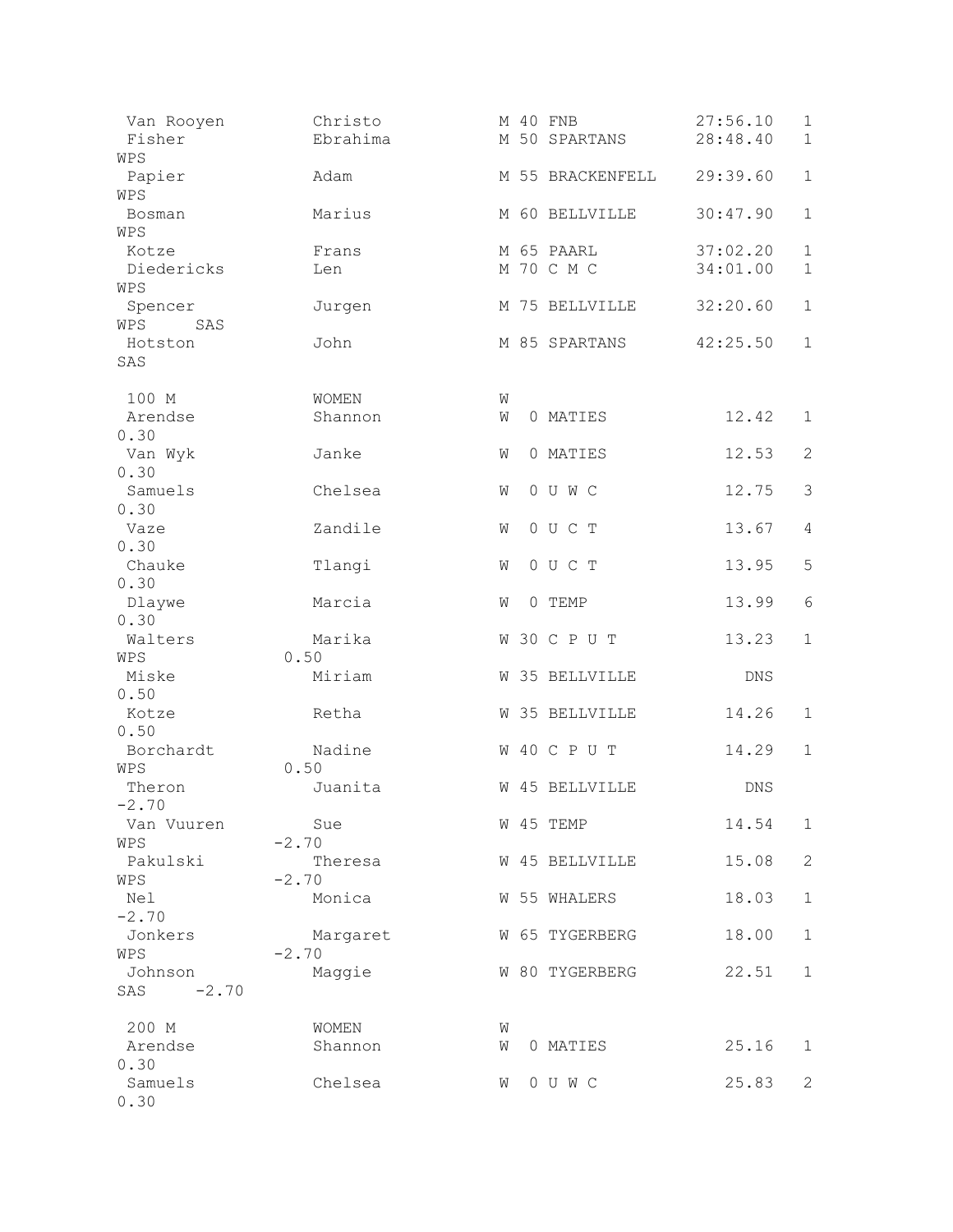| Van Rooyen<br>Fisher<br>WPS | Christo<br>Ebrahima | M 40 FNB<br>M 50 SPARTANS | 27:56.10<br>28:48.40 | 1<br>$\mathbf 1$ |
|-----------------------------|---------------------|---------------------------|----------------------|------------------|
| Papier<br>WPS               | Adam                | M 55 BRACKENFELL          | 29:39.60             | 1                |
| Bosman<br>WPS               | Marius              | M 60 BELLVILLE            | 30:47.90             | 1                |
| Kotze                       | Frans               | M 65 PAARL                | 37:02.20             | 1                |
| Diedericks<br>WPS           | Len                 | M 70 C M C                | 34:01.00             | $\mathbf 1$      |
| Spencer<br>WPS<br>SAS       | Jurgen              | M 75 BELLVILLE            | 32:20.60             | $\mathbf 1$      |
| Hotston<br>SAS              | John                | M 85 SPARTANS             | 42:25.50             | $\mathbf{1}$     |
| 100 M                       | WOMEN               | W                         |                      |                  |
| Arendse<br>0.30             | Shannon             | W<br>0 MATIES             | 12.42                | 1                |
| Van Wyk<br>0.30             | Janke               | 0 MATIES<br>W             | 12.53                | 2                |
| Samuels<br>0.30             | Chelsea             | OUWC<br>W                 | 12.75                | 3                |
| Vaze<br>0.30                | Zandile             | 0 U C T<br>W              | 13.67                | 4                |
| Chauke<br>0.30              | Tlangi              | 0 U C T<br>W              | 13.95                | 5                |
| Dlaywe<br>0.30              | Marcia              | 0 TEMP<br>W               | 13.99                | 6                |
| Walters                     | Marika              | W 30 C P U T              | 13.23                | $\mathbf 1$      |
| WPS<br>Miske                | 0.50<br>Miriam      | W 35 BELLVILLE            | <b>DNS</b>           |                  |
| 0.50                        |                     |                           |                      |                  |
| Kotze<br>0.50               | Retha               | W 35 BELLVILLE            | 14.26                | 1                |
| Borchardt<br>WPS            | Nadine<br>0.50      | W 40 C P U T              | 14.29                | 1                |
| Theron<br>$-2.70$           | Juanita             | W 45 BELLVILLE            | <b>DNS</b>           |                  |
| Van Vuuren<br>WPS           | Sue<br>$-2.70$      | W 45 TEMP                 | 14.54                | 1                |
| Pakulski                    | Theresa             | W 45 BELLVILLE            | 15.08                | 2                |
| WPS<br>Nel                  | $-2.70$<br>Monica   | W 55 WHALERS              | 18.03                | $\mathbf{1}$     |
| $-2.70$<br>Jonkers          | Margaret            | W 65 TYGERBERG            | 18.00                | $\mathbf 1$      |
| WPS<br>Johnson              | $-2.70$<br>Maggie   | W 80 TYGERBERG            | 22.51                | $\mathbf{1}$     |
| $SAS$ -2.70                 |                     |                           |                      |                  |
| 200 M                       | WOMEN               | W                         |                      |                  |
| Arendse<br>0.30             | Shannon             | 0 MATIES<br>W             | 25.16                | 1                |
| Samuels<br>0.30             | Chelsea             | 0 U W C<br>W              | 25.83                | 2                |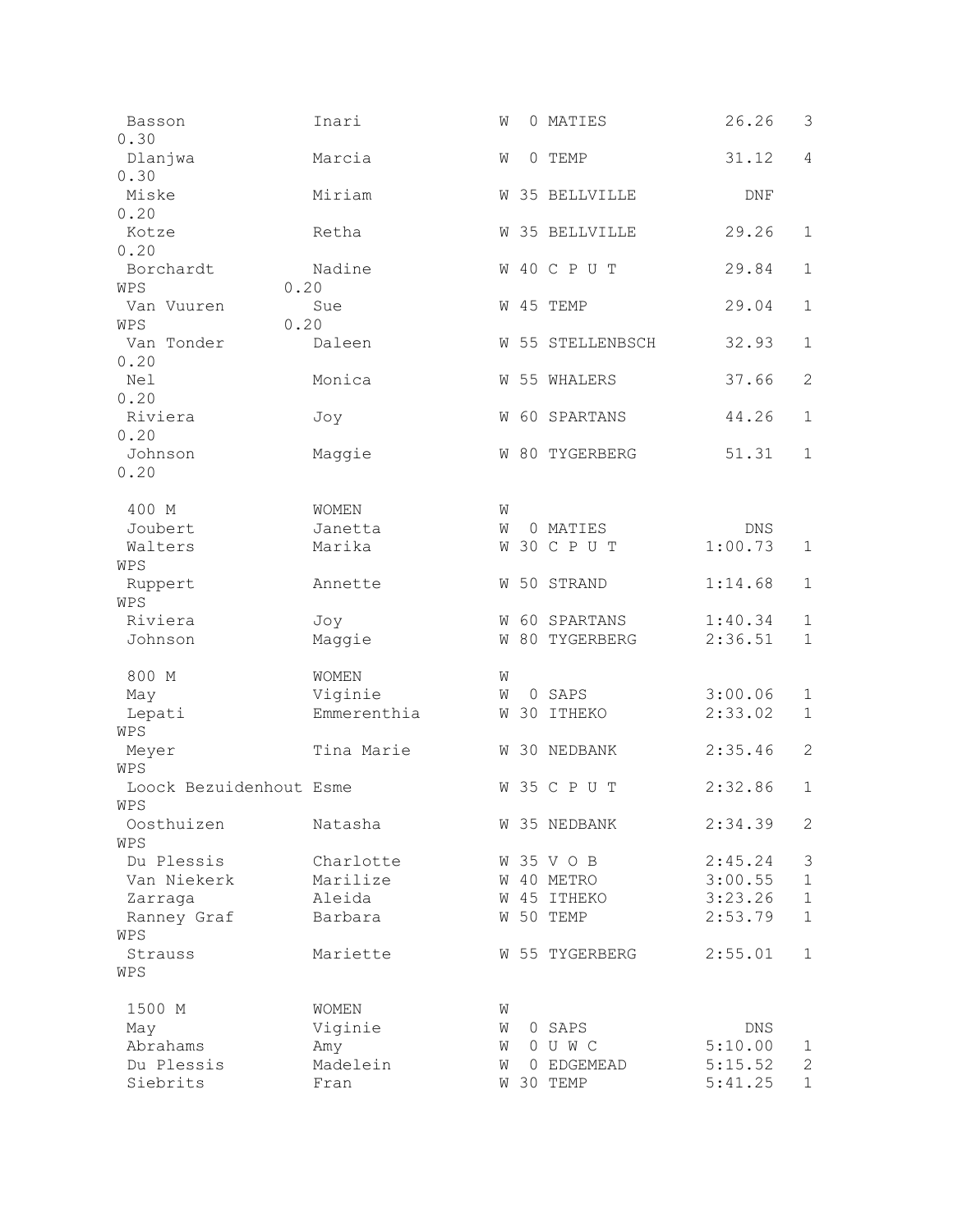| Basson<br>0.30                        | Inari             | W      | 0 MATIES               | 26.26                 | 3            |
|---------------------------------------|-------------------|--------|------------------------|-----------------------|--------------|
| Dlanjwa<br>0.30                       | Marcia            | W      | 0 TEMP                 | 31.12                 | 4            |
| Miske<br>0.20                         | Miriam            | W      | 35 BELLVILLE           | <b>DNF</b>            |              |
| Kotze<br>0.20                         | Retha             | W      | 35 BELLVILLE           | 29.26                 | $\mathbf 1$  |
| Borchardt<br>WPS                      | Nadine<br>0.20    |        | W 40 C P U T           | 29.84                 | $\mathbf 1$  |
| Van Vuuren<br>WPS                     | Sue<br>0.20       |        | W 45 TEMP              | 29.04                 | $\mathbf 1$  |
| Van Tonder<br>0.20                    | Daleen            |        | W 55 STELLENBSCH       | 32.93                 | $\mathbf 1$  |
| Nel<br>0.20                           | Monica            |        | W 55 WHALERS           | 37.66                 | $\mathbf{2}$ |
| Riviera<br>0.20                       | Joy               | W      | 60 SPARTANS            | 44.26                 | $\mathbf 1$  |
| Johnson<br>0.20                       | Maggie            | W      | 80 TYGERBERG           | 51.31                 | $\mathbf 1$  |
| 400 M                                 | <b>WOMEN</b>      | W      |                        |                       |              |
| Joubert<br>Walters                    | Janetta<br>Marika | W<br>W | 0 MATIES<br>30 C P U T | <b>DNS</b><br>1:00.73 | $\mathbf 1$  |
| WPS                                   |                   |        |                        |                       |              |
| Ruppert<br>WPS                        | Annette           |        | W 50 STRAND            | 1:14.68               | 1            |
| Riviera                               | Joy               |        | W 60 SPARTANS          | 1:40.34               | 1            |
| Johnson                               | Maggie            |        | W 80 TYGERBERG         | 2:36.51               | $\mathbf{1}$ |
| 800 M                                 | <b>WOMEN</b>      | W      |                        |                       |              |
| May                                   | Viginie           | W      | 0 SAPS                 | 3:00.06               | 1            |
| Lepati                                | Emmerenthia       | W      | 30 ITHEKO              | 2:33.02               | $\mathbf 1$  |
| WPS<br>Meyer                          | Tina Marie        |        | W 30 NEDBANK           | 2:35.46               | 2            |
| WPS                                   |                   |        |                        |                       |              |
| Loock Bezuidenhout Esme<br><b>WPS</b> |                   |        | W 35 C P U T           | 2:32.86               | 1            |
| Oosthuizen<br>WPS                     | Natasha           |        | W 35 NEDBANK           | 2:34.39               | 2            |
| Du Plessis                            | Charlotte         |        | W 35 V O B             | 2:45.24               | 3            |
| Van Niekerk                           | Marilize          |        | W 40 METRO             | 3:00.55               | 1            |
| Zarraga                               | Aleida            |        | W 45 ITHEKO            | 3:23.26               | $\mathbf 1$  |
| Ranney Graf                           | Barbara           |        | W 50 TEMP              | 2:53.79               | $\mathbf 1$  |
| WPS<br>Strauss<br>WPS                 | Mariette          |        | W 55 TYGERBERG         | 2:55.01               | 1            |
| 1500 M                                | WOMEN             | W      |                        |                       |              |
| May                                   | Viginie           | W      | 0 SAPS                 | DNS                   |              |
| Abrahams                              | Amy               | W      | 0 U W C                | 5:10.00               | 1            |
| Du Plessis                            | Madelein          | W      | 0 EDGEMEAD             | 5:15.52               | $\mathbf{2}$ |
| Siebrits                              | Fran              |        | W 30 TEMP              | 5:41.25               | $\mathbf 1$  |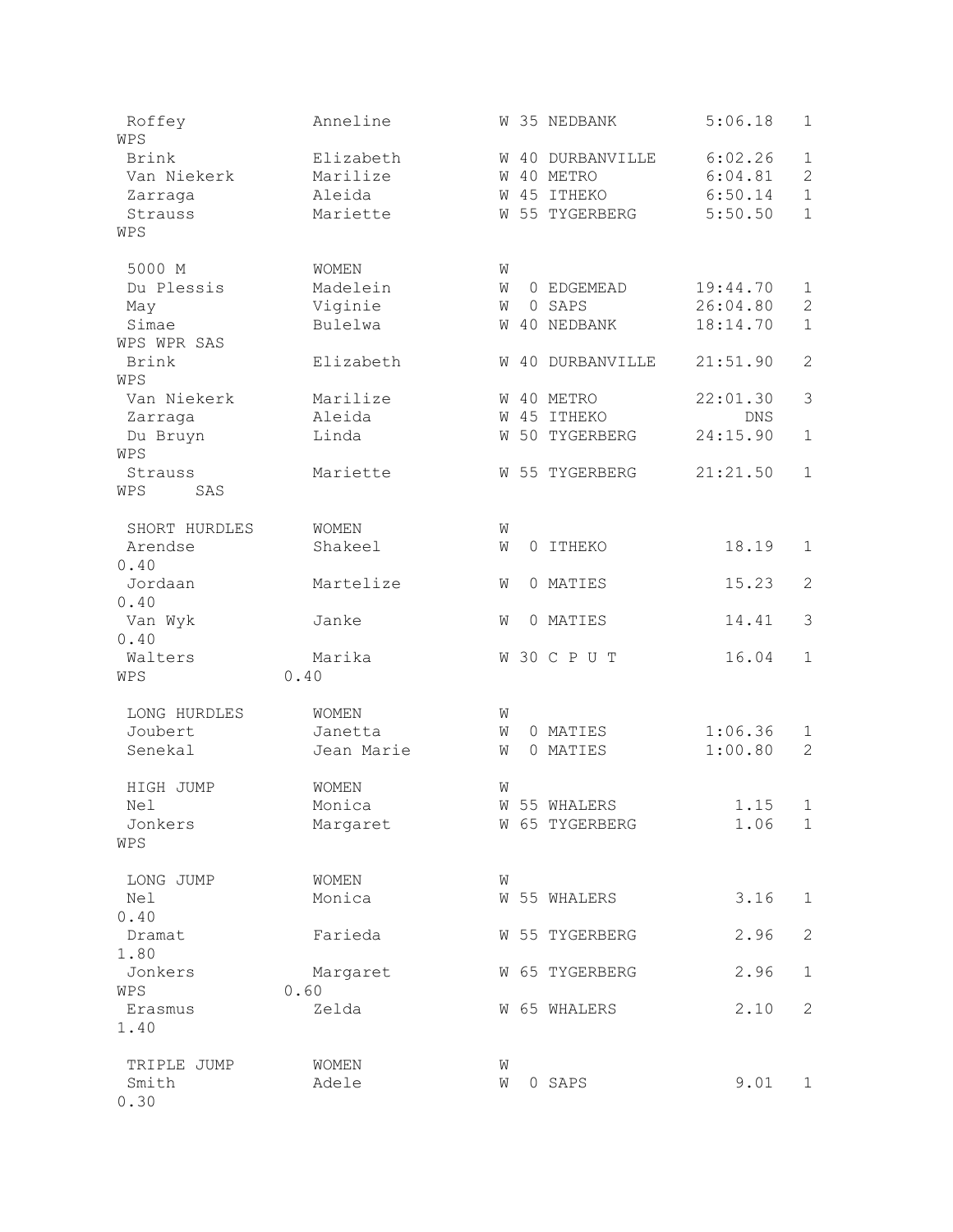| Roffey              | Anneline              |   |   | W 35 NEDBANK               | 5:06.18    | 1                   |
|---------------------|-----------------------|---|---|----------------------------|------------|---------------------|
| WPS<br><b>Brink</b> |                       |   |   |                            |            |                     |
| Van Niekerk         | Elizabeth<br>Marilize | W |   | 40 DURBANVILLE<br>40 METRO | 6:02.26    | 1<br>$\overline{c}$ |
|                     |                       | W |   |                            | 6:04.81    |                     |
| Zarraga             | Aleida                | W |   | 45 ITHEKO                  | 6:50.14    | $\mathbf{1}$        |
| Strauss             | Mariette              |   |   | W 55 TYGERBERG             | 5:50.50    | $\mathbf{1}$        |
| WPS                 |                       |   |   |                            |            |                     |
| 5000 M              | WOMEN                 | W |   |                            |            |                     |
| Du Plessis          | Madelein              | W |   | 0 EDGEMEAD                 | 19:44.70   | 1                   |
| May                 | Viginie               | W |   | 0 SAPS                     | 26:04.80   | $\mathbf{2}$        |
| Simae               | Bulelwa               | W |   | 40 NEDBANK                 | 18:14.70   | $\mathbf 1$         |
| WPS WPR SAS         |                       |   |   |                            |            |                     |
| Brink               | Elizabeth             |   |   | W 40 DURBANVILLE           | 21:51.90   | 2                   |
| WPS                 |                       |   |   |                            |            |                     |
| Van Niekerk         | Marilize              |   |   | W 40 METRO                 | 22:01.30   | 3                   |
| Zarraga             | Aleida                |   |   | W 45 ITHEKO                | <b>DNS</b> |                     |
| Du Bruyn            | Linda                 |   |   | W 50 TYGERBERG             | 24:15.90   | 1                   |
| WPS                 |                       |   |   |                            |            |                     |
| Strauss             | Mariette              |   |   | W 55 TYGERBERG             | 21:21.50   | $\mathbf 1$         |
| WPS<br>SAS          |                       |   |   |                            |            |                     |
|                     |                       |   |   |                            |            |                     |
| SHORT HURDLES       | <b>WOMEN</b>          | W |   |                            |            |                     |
| Arendse<br>0.40     | Shakeel               | W | 0 | ITHEKO                     | 18.19      | $\mathbf 1$         |
| Jordaan             | Martelize             | W |   | 0 MATIES                   | 15.23      | $\mathbf{2}$        |
| 0.40                |                       |   |   |                            |            |                     |
| Van Wyk             | Janke                 | W |   | 0 MATIES                   | 14.41      | 3                   |
| 0.40                |                       |   |   |                            |            |                     |
| Walters             | Marika                |   |   | W 30 C P U T               | 16.04      | $\mathbf 1$         |
| WPS                 | 0.40                  |   |   |                            |            |                     |
|                     |                       |   |   |                            |            |                     |
| LONG HURDLES        | <b>WOMEN</b>          | W |   |                            |            |                     |
| Joubert             | Janetta               | W |   | 0 MATIES                   | 1:06.36    | 1                   |
| Senekal             | Jean Marie            | W |   | 0 MATIES                   | 1:00.80    | $\overline{2}$      |
|                     |                       |   |   |                            |            |                     |
| HIGH JUMP           | <b>WOMEN</b>          | W |   |                            |            |                     |
| Nel                 | Monica                |   |   | W 55 WHALERS               | $1.15 \t1$ |                     |
| Jonkers             | Margaret              |   |   | W 65 TYGERBERG             | 1.06       | $\mathbf{1}$        |
| WPS                 |                       |   |   |                            |            |                     |
|                     |                       |   |   |                            |            |                     |
| LONG JUMP           | WOMEN                 | W |   |                            |            |                     |
| Nel<br>0.40         | Monica                |   |   | W 55 WHALERS               | 3.16       | $\mathbf 1$         |
| Dramat              | Farieda               |   |   | W 55 TYGERBERG             | 2.96       | 2                   |
| 1.80                |                       |   |   |                            |            |                     |
| Jonkers             | Margaret              |   |   | W 65 TYGERBERG             | 2.96       | 1                   |
| WPS                 | 0.60                  |   |   |                            |            |                     |
| Erasmus             | Zelda                 |   |   | W 65 WHALERS               | 2.10       | 2                   |
| 1.40                |                       |   |   |                            |            |                     |
|                     |                       |   |   |                            |            |                     |
| TRIPLE JUMP         | WOMEN                 | W |   |                            |            |                     |
| Smith               | Adele                 | W |   | 0 SAPS                     | 9.01       | 1                   |
| 0.30                |                       |   |   |                            |            |                     |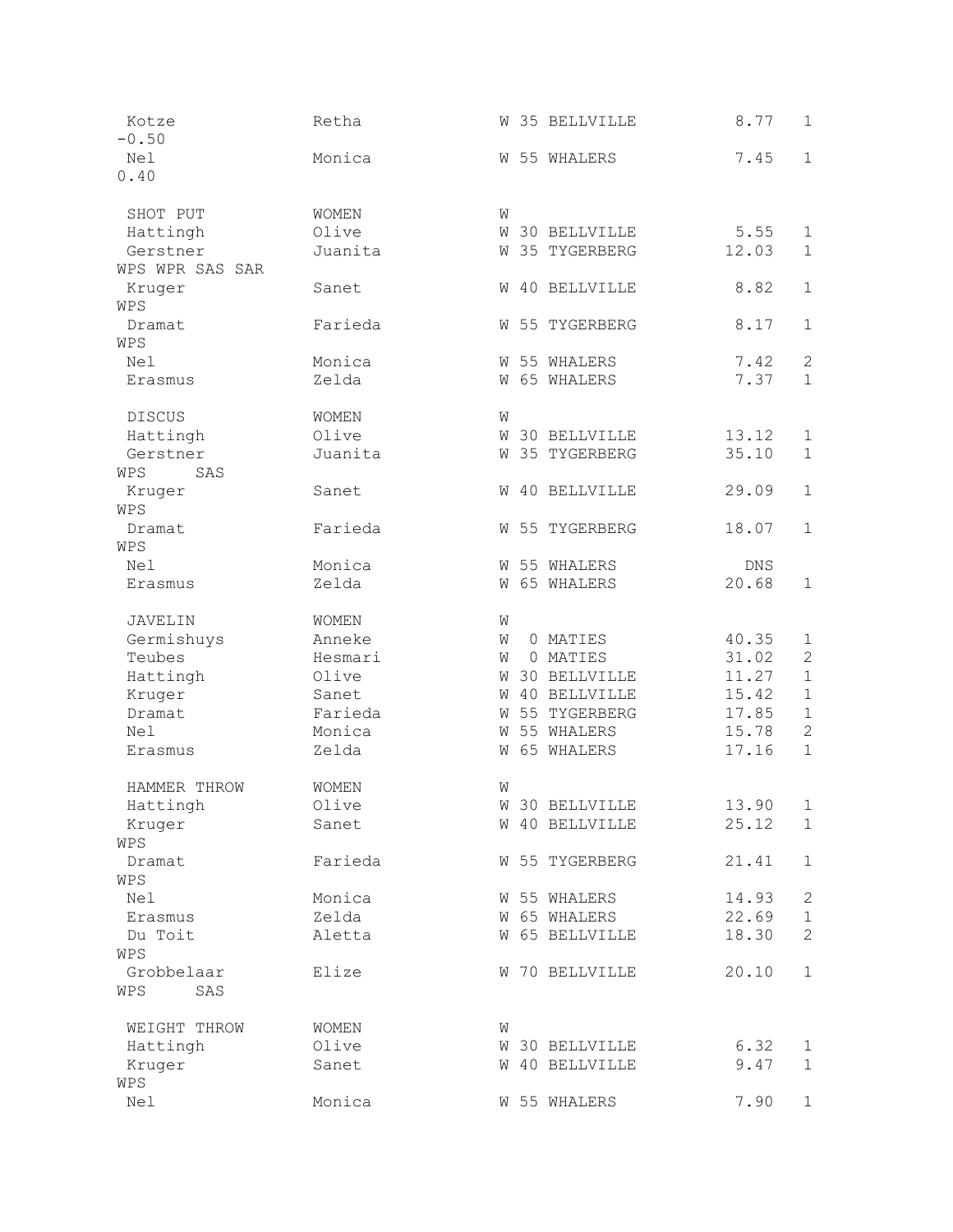| Kotze<br>$-0.50$   | Retha           | W 35 BELLVILLE                   | 8.77         | 1                 |
|--------------------|-----------------|----------------------------------|--------------|-------------------|
| Nel<br>0.40        | Monica          | W 55 WHALERS                     | 7.45         | $\mathbf 1$       |
|                    |                 |                                  |              |                   |
| SHOT PUT           | WOMEN           | W                                |              |                   |
| Hattingh           | Olive           | W 30 BELLVILLE                   | 5.55         | $\mathbf{1}$      |
| Gerstner           | Juanita         | W 35 TYGERBERG                   | 12.03        | $\mathbf{1}$      |
| WPS WPR SAS SAR    |                 |                                  |              |                   |
| Kruger<br>WPS      | Sanet           | W 40 BELLVILLE                   | 8.82         | $\mathbf 1$       |
| Dramat             | Farieda         | W 55 TYGERBERG                   | 8.17         | $\mathbf 1$       |
| WPS<br>Nel         |                 |                                  |              | $\mathbf{2}$      |
|                    | Monica<br>Zelda | W 55 WHALERS<br>W 65 WHALERS     | 7.42<br>7.37 | $\mathbf 1$       |
| Erasmus            |                 |                                  |              |                   |
| <b>DISCUS</b>      | WOMEN           | W                                |              |                   |
| Hattingh           | Olive           | W 30 BELLVILLE                   | 13.12        | $\mathbf 1$       |
| Gerstner           | Juanita         | W 35 TYGERBERG                   | 35.10        | $\mathbf 1$       |
| SAS<br>WPS         |                 |                                  |              |                   |
| Kruger             | Sanet           | W 40 BELLVILLE                   | 29.09        | $\mathbf 1$       |
| WPS                |                 |                                  |              |                   |
| Dramat             | Farieda         | W 55 TYGERBERG                   | 18.07        | $\mathbf 1$       |
| WPS                |                 |                                  |              |                   |
| Nel                | Monica          | W 55 WHALERS                     | DNS.         |                   |
| Erasmus            | Zelda           | <b>W 65 WHALERS</b>              | 20.68        | $\mathbf 1$       |
| JAVELIN            | WOMEN           | W                                |              |                   |
| Germishuys         | Anneke          | 0 MATIES<br>W                    | 40.35        | 1                 |
| Teubes             | Hesmari         | 0 MATIES<br>W                    | 31.02        | $\mathbf{2}$      |
| Hattingh           | Olive           | 30 BELLVILLE<br>W                | 11.27        | $\mathbf{1}$      |
| Kruger             | Sanet           | W 40 BELLVILLE                   | 15.42        | $\mathbf 1$       |
| Dramat             | Farieda         | 55 TYGERBERG<br>W                | 17.85        | $\mathbf{1}$      |
| Nel                | Monica          | W 55 WHALERS                     | 15.78        | $\overline{c}$    |
| Erasmus            | Zelda           | W 65 WHALERS                     | 17.16        | $\mathbf{1}$      |
| HAMMER THROW       | <b>WOMEN</b>    | W                                |              |                   |
| Hattingh           | Olive           | W 30 BELLVILLE                   | 13.90 1      |                   |
| Kruger             | Sanet           | W 40 BELLVILLE                   | 25.12        | 1                 |
| WPS                |                 |                                  |              |                   |
| Dramat             | Farieda         | W 55 TYGERBERG                   | 21.41        | $\mathbf 1$       |
| WPS                |                 |                                  |              |                   |
| Nel                | Monica          | W 55 WHALERS                     | 14.93        | $\mathbf{2}$      |
| Erasmus            | Zelda           | W 65 WHALERS                     | 22.69        | $\mathbf 1$       |
| Du Toit            | Aletta          | W 65 BELLVILLE                   | 18.30        | $\mathbf{2}$      |
| WPS                |                 |                                  |              |                   |
| Grobbelaar         | Elize           | W 70 BELLVILLE                   | 20.10        | $\mathbf 1$       |
| WPS<br>SAS         |                 |                                  |              |                   |
|                    |                 |                                  |              |                   |
| WEIGHT THROW       | WOMEN<br>Olive  | W                                | 6.32         |                   |
| Hattingh<br>Kruger | Sanet           | W 30 BELLVILLE<br>W 40 BELLVILLE | 9.47         | 1<br>$\mathbf{1}$ |
| WPS                |                 |                                  |              |                   |
| Nel                | Monica          | W 55 WHALERS                     | 7.90         | 1                 |
|                    |                 |                                  |              |                   |